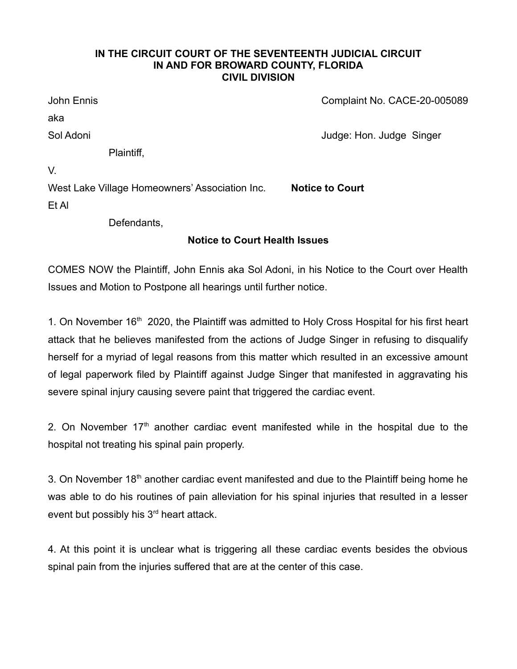## **IN THE CIRCUIT COURT OF THE SEVENTEENTH JUDICIAL CIRCUIT IN AND FOR BROWARD COUNTY, FLORIDA CIVIL DIVISION**

| West Lake Village Homeowners' Association Inc. | <b>Notice to Court</b>       |
|------------------------------------------------|------------------------------|
| V.                                             |                              |
| Plaintiff,                                     |                              |
| Sol Adoni                                      | Judge: Hon. Judge Singer     |
| aka                                            |                              |
| John Ennis                                     | Complaint No. CACE-20-005089 |

Et Al

Defendants,

## **Notice to Court Health Issues**

COMES NOW the Plaintiff, John Ennis aka Sol Adoni, in his Notice to the Court over Health Issues and Motion to Postpone all hearings until further notice.

1. On November  $16<sup>th</sup>$  2020, the Plaintiff was admitted to Holy Cross Hospital for his first heart attack that he believes manifested from the actions of Judge Singer in refusing to disqualify herself for a myriad of legal reasons from this matter which resulted in an excessive amount of legal paperwork filed by Plaintiff against Judge Singer that manifested in aggravating his severe spinal injury causing severe paint that triggered the cardiac event.

2. On November  $17<sup>th</sup>$  another cardiac event manifested while in the hospital due to the hospital not treating his spinal pain properly.

3. On November  $18<sup>th</sup>$  another cardiac event manifested and due to the Plaintiff being home he was able to do his routines of pain alleviation for his spinal injuries that resulted in a lesser event but possibly his 3<sup>rd</sup> heart attack.

4. At this point it is unclear what is triggering all these cardiac events besides the obvious spinal pain from the injuries suffered that are at the center of this case.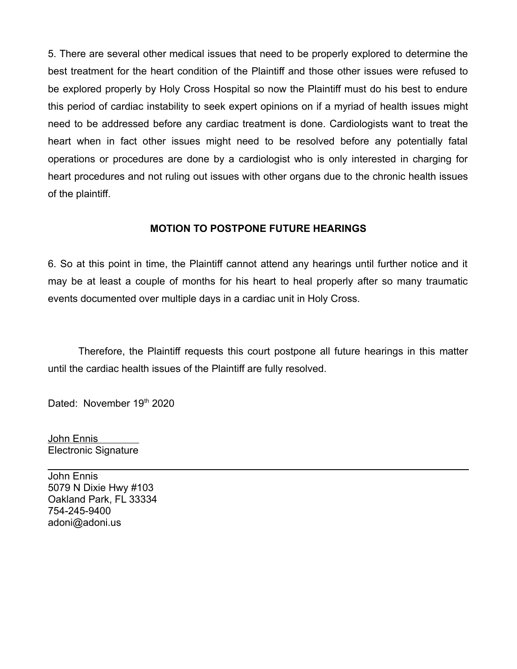5. There are several other medical issues that need to be properly explored to determine the best treatment for the heart condition of the Plaintiff and those other issues were refused to be explored properly by Holy Cross Hospital so now the Plaintiff must do his best to endure this period of cardiac instability to seek expert opinions on if a myriad of health issues might need to be addressed before any cardiac treatment is done. Cardiologists want to treat the heart when in fact other issues might need to be resolved before any potentially fatal operations or procedures are done by a cardiologist who is only interested in charging for heart procedures and not ruling out issues with other organs due to the chronic health issues of the plaintiff.

## **MOTION TO POSTPONE FUTURE HEARINGS**

6. So at this point in time, the Plaintiff cannot attend any hearings until further notice and it may be at least a couple of months for his heart to heal properly after so many traumatic events documented over multiple days in a cardiac unit in Holy Cross.

Therefore, the Plaintiff requests this court postpone all future hearings in this matter until the cardiac health issues of the Plaintiff are fully resolved.

Dated: November 19th 2020

 John Ennis Electronic Signature

John Ennis 5079 N Dixie Hwy #103 Oakland Park, FL 33334 754-245-9400 adoni@adoni.us